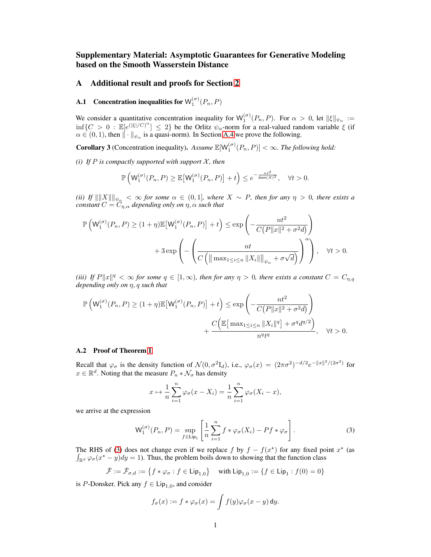# Supplementary Material: Asymptotic Guarantees for Generative Modeling based on the Smooth Wasserstein Distance

## A Additional result and proofs for Section [2](#page--1-0)

# **A.1** Concentration inequalities for  $\mathsf{W}_1^{(\sigma)}(P_n,P)$

We consider a quantitative concentration inequality for  $W_1^{(\sigma)}(P_n, P)$ . For  $\alpha > 0$ , let  $||\xi||_{\psi_\alpha} :=$  $\inf\{C>0: \mathbb{E}[e^{(|\xi|/C)^{\alpha}}] \leq 2\}$  be the Orlitz  $\psi_{\alpha}$ -norm for a real-valued random variable  $\xi$  (if  $\alpha \in (0, 1)$ , then  $\|\cdot\|_{\psi_{\alpha}}$  is a quasi-norm). In Section [A.4](#page-3-0) we prove the following.

<span id="page-0-1"></span>**Corollary 3** (Concentration inequality). Assume  $\mathbb{E}[W_1^{(\sigma)}(P_n, P)] < \infty$ . The following hold:

*(i)* If  $P$  *is compactly supported with support*  $X$ *, then* 

$$
\mathbb{P}\left(\mathsf{W}_1^{(\sigma)}(P_n,P)\geq \mathbb{E}\big[\mathsf{W}_1^{(\sigma)}(P_n,P)\big]+t\right)\leq e^{-\frac{nt^2}{\text{diam}(X)^2}},\quad \forall t>0.
$$

*(ii)* If  $\|\|X\|\|_{\psi_\alpha} < \infty$  for some  $\alpha \in (0,1]$ , where  $X \sim P$ , then for any  $\eta > 0$ , there exists a *constant*  $C = C_{\eta,\alpha}$  *depending only on*  $\eta, \alpha$  *such that* 

$$
\mathbb{P}\left(\mathsf{W}_{1}^{(\sigma)}(P_{n}, P) \geq (1+\eta)\mathbb{E}\left[\mathsf{W}_{1}^{(\sigma)}(P_{n}, P)\right] + t\right) \leq \exp\left(-\frac{nt^{2}}{C\left(P\|x\|^{2} + \sigma^{2}d\right)}\right) + 3\exp\left(-\left(\frac{nt}{C\left(\|\max_{1 \leq i \leq n} \|X_{i}\|\|_{\psi_{\alpha}} + \sigma\sqrt{d}\right)}\right)^{\alpha}\right), \quad \forall t > 0.
$$

(*iii*) If  $P\|x\|^q < \infty$  for some  $q \in [1,\infty)$ , then for any  $\eta > 0$ , there exists a constant  $C = C_{\eta,q}$ *depending only on* η, q *such that*

$$
\mathbb{P}\left(\mathsf{W}_{1}^{(\sigma)}(P_{n}, P) \geq (1+\eta)\mathbb{E}\left[\mathsf{W}_{1}^{(\sigma)}(P_{n}, P)\right] + t\right) \leq \exp\left(-\frac{nt^{2}}{C\left(P\|x\|^{2} + \sigma^{2}d\right)}\right) + \frac{C\left(\mathbb{E}\left[\max_{1 \leq i \leq n} \|X_{i}\|^{q}\right] + \sigma^{q}d^{q/2}\right)}{n^{q}t^{q}}, \quad \forall t > 0.
$$

#### A.2 Proof of Theorem [1](#page--1-1)

Recall that  $\varphi_{\sigma}$  is the density function of  $\mathcal{N}(0, \sigma^2 I_d)$ , i.e.,  $\varphi_{\sigma}(x) = (2\pi\sigma^2)^{-d/2} e^{-\|x\|^2/(2\sigma^2)}$  for  $x \in \mathbb{R}^d$ . Noting that the measure  $P_n * \mathcal{N}_{\sigma}$  has density

$$
x \mapsto \frac{1}{n} \sum_{i=1}^{n} \varphi_{\sigma}(x - X_i) = \frac{1}{n} \sum_{i=1}^{n} \varphi_{\sigma}(X_i - x),
$$

we arrive at the expression

<span id="page-0-0"></span>
$$
\mathsf{W}_1^{(\sigma)}(P_n, P) = \sup_{f \in \mathsf{Lip}_1} \left[ \frac{1}{n} \sum_{i=1}^n f * \varphi_{\sigma}(X_i) - Pf * \varphi_{\sigma} \right]. \tag{3}
$$

The RHS of [\(3\)](#page-0-0) does not change even if we replace f by  $f - f(x^*)$  for any fixed point  $x^*$  (as  $\int_{\mathbb{R}^d} \varphi_{\sigma}(x^* - y) dy = 1$ ). Thus, the problem boils down to showing that the function class

$$
\check{\mathcal{F}} := \check{\mathcal{F}}_{\sigma,d} := \left\{ f * \varphi_{\sigma} : f \in \text{Lip}_{1,0} \right\} \quad \text{with } \text{Lip}_{1,0} := \left\{ f \in \text{Lip}_1 : f(0) = 0 \right\}
$$

is P-Donsker. Pick any  $f \in \text{Lip}_{1,0}$ , and consider

$$
f_{\sigma}(x) := f * \varphi_{\sigma}(x) = \int f(y) \varphi_{\sigma}(x - y) \, dy.
$$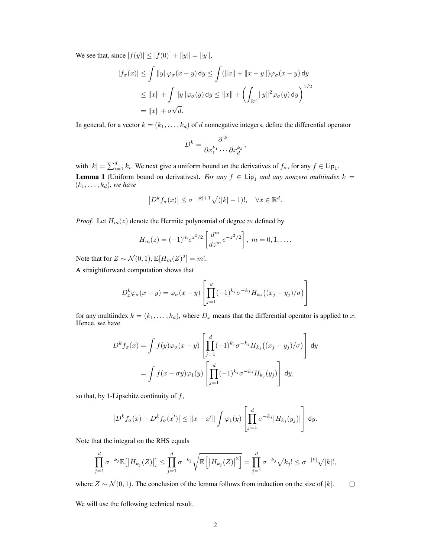We see that, since  $|f(y)| \le |f(0)| + ||y|| = ||y||$ ,

$$
|f_{\sigma}(x)| \le \int ||y||\varphi_{\sigma}(x-y) dy \le \int (||x|| + ||x-y||)\varphi_{\sigma}(x-y) dy
$$
  
\n
$$
\le ||x|| + \int ||y||\varphi_{\sigma}(y) dy \le ||x|| + \left(\int_{\mathbb{R}^d} ||y||^2 \varphi_{\sigma}(y) dy\right)^{1/2}
$$
  
\n
$$
= ||x|| + \sigma \sqrt{d}.
$$

In general, for a vector  $k = (k_1, \ldots, k_d)$  of d nonnegative integers, define the differential operator

$$
D^k = \frac{\partial^{|k|}}{\partial x_1^{k_1} \cdots \partial x_d^{k_d}},
$$

<span id="page-1-0"></span>with  $|k| = \sum_{i=1}^d k_i$ . We next give a uniform bound on the derivatives of  $f_\sigma$ , for any  $f \in \text{Lip}_1$ . **Lemma 1** (Uniform bound on derivatives). *For any*  $f \in Lip_1$  *and any nonzero multiindex*  $k =$  $(k_1, \ldots, k_d)$ *, we have* 

$$
\left| D^k f_\sigma(x) \right| \le \sigma^{-|k|+1} \sqrt{(|k|-1)!}, \quad \forall x \in \mathbb{R}^d.
$$

*Proof.* Let  $H_m(z)$  denote the Hermite polynomial of degree m defined by

$$
H_m(z) = (-1)^m e^{z^2/2} \left[ \frac{d^m}{dz^m} e^{-z^2/2} \right], \ m = 0, 1, \dots
$$

Note that for  $Z \sim \mathcal{N}(0, 1), \mathbb{E}[H_m(Z)^2] = m!$ .

A straightforward computation shows that

$$
D_x^k \varphi_\sigma(x - y) = \varphi_\sigma(x - y) \left[ \prod_{j=1}^d (-1)^{k_j} \sigma^{-k_j} H_{k_j} \left( (x_j - y_j) / \sigma \right) \right]
$$

for any multiindex  $k = (k_1, \ldots, k_d)$ , where  $D_x$  means that the differential operator is applied to x. Hence, we have

$$
D^k f_\sigma(x) = \int f(y) \varphi_\sigma(x - y) \left[ \prod_{j=1}^d (-1)^{k_j} \sigma^{-k_j} H_{k_j} \left( (x_j - y_j) / \sigma \right) \right] dy
$$
  
= 
$$
\int f(x - \sigma y) \varphi_1(y) \left[ \prod_{j=1}^d (-1)^{k_j} \sigma^{-k_j} H_{k_j}(y_j) \right] dy,
$$

so that, by 1-Lipschitz continuity of  $f$ ,

$$
\left|D^{k} f_{\sigma}(x) - D^{k} f_{\sigma}(x')\right| \leq \|x - x'\| \int \varphi_{1}(y) \left[\prod_{j=1}^{d} \sigma^{-k_{j}} \left|H_{k_{j}}(y_{j})\right|\right] dy.
$$

Note that the integral on the RHS equals

$$
\prod_{j=1}^{d} \sigma^{-k_j} \mathbb{E}[|H_{k_j}(Z)|] \leq \prod_{j=1}^{d} \sigma^{-k_j} \sqrt{\mathbb{E}[|H_{k_j}(Z)|^2]} = \prod_{j=1}^{d} \sigma^{-k_j} \sqrt{k_j!} \leq \sigma^{-|k|} \sqrt{|k|!},
$$

where  $Z \sim \mathcal{N}(0, 1)$ . The conclusion of the lemma follows from induction on the size of |k|.  $\Box$ 

We will use the following technical result.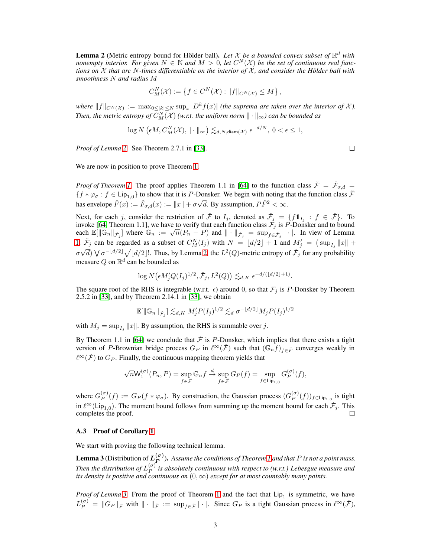<span id="page-2-0"></span>**Lemma 2** (Metric entropy bound for Hölder ball). Let  $X$  be a bounded convex subset of  $\mathbb{R}^d$  with *nonempty interior. For given*  $N \in \mathbb{N}$  and  $M > 0$ , let  $C^N(\mathcal{X})$  be the set of continuous real func*tions on* X *that are* N*-times differentiable on the interior of* X *, and consider the Hölder ball with smoothness* N *and radius* M

$$
C_M^N(\mathcal{X}) := \left\{ f \in C^N(\mathcal{X}) : ||f||_{C^N(\mathcal{X})} \le M \right\},\
$$

 $where \t||f||_{C^N(\mathcal{X})} := \max_{0 \leq |k| \leq N} \sup_x |D^k f(x)|$  (the suprema are taken over the interior of  $\mathcal{X}$ ). Then, the metric entropy of  $C_M^N(\mathcal{X})$  (w.r.t. the uniform norm  $\|\cdot\|_\infty$ ) can be bounded as

$$
\log N\left(\epsilon M, C_M^N(\mathcal{X}), \|\cdot\|_{\infty}\right) \lesssim_{d,N, \text{diam}(\mathcal{X})} \epsilon^{-d/N}, 0 < \epsilon \le 1,
$$

*Proof of Lemma [2.](#page-2-0)* See Theorem 2.7.1 in [\[33\]](#page--1-2).

 $\Box$ 

We are now in position to prove Theorem [1.](#page--1-1)

*Proof of Theorem [1.](#page--1-1)* The proof applies Theorem 1.1 in [\[64\]](#page--1-3) to the function class  $\tilde{\mathcal{F}} = \tilde{\mathcal{F}}_{\sigma,d} =$  ${f * \varphi_{\sigma} : f \in Lip_{1,0}}$  to show that it is P-Donsker. We begin with noting that the function class  $\check{\mathcal{F}}$ has envelope  $\check{F}(x) := \check{F}_{\sigma,d}(x) := ||x|| + \sigma \sqrt{d}$ . By assumption,  $P\check{F}^2 < \infty$ .

Next, for each j, consider the restriction of  $\check{\mathcal{F}}$  to  $I_j$ , denoted as  $\check{\mathcal{F}}_j = \{f1I_j : f \in \check{\mathcal{F}}\}$ . To invoke [\[64,](#page--1-3) Theorem 1.1], we have to verify that each function class  $\mathcal{F}_j$  is P-Donsker and to bound each  $\mathbb{E}[\|\mathbb{G}_n\|_{\tilde{\mathcal{F}}_j}]$  where  $\mathbb{G}_n := \sqrt{n}(P_n - P)$  and  $\|\cdot\|_{\tilde{\mathcal{F}}_j} = \sup_{f \in \tilde{\mathcal{F}}_j} |\cdot|$ . In view of Lemma [1,](#page-1-0)  $\tilde{F}_j$  can be regarded as a subset of  $C_M^N(I_j)$  with  $N = \lfloor d/2 \rfloor + 1$  and  $M'_j = (\sup_{I_j} ||x|| +$  $\sigma\sqrt{d}$ )  $\sqrt{\sigma^{-\lfloor d/2 \rfloor}}$   $\sqrt{\lfloor d/2 \rfloor!}$ . Thus, by Lemma [2,](#page-2-0) the  $L^2(Q)$ -metric entropy of  $\mathcal{F}_j$  for any probability measure Q on  $\mathbb{R}^d$  can be bounded as

$$
\log N(\epsilon M_j' Q(I_j)^{1/2}, \check{\mathcal{F}}_j, L^2(Q)) \lesssim_{d,K} \epsilon^{-d/(\lfloor d/2 \rfloor + 1)}.
$$

The square root of the RHS is integrable (w.r.t.  $\epsilon$ ) around 0, so that  $\mathcal{F}_j$  is P-Donsker by Theorem 2.5.2 in [\[33\]](#page--1-2), and by Theorem 2.14.1 in [\[33\]](#page--1-2), we obtain

$$
\mathbb{E}[\|\mathbb{G}_n\|_{\tilde{\mathcal{F}}_j}] \lesssim_{d,K} M_j' P(I_j)^{1/2} \lesssim_d \sigma^{-\lfloor d/2 \rfloor} M_j P(I_j)^{1/2}
$$

with  $M_j = \sup_{I_j} ||x||$ . By assumption, the RHS is summable over j.

By Theorem 1.1 in [\[64\]](#page--1-3) we conclude that  $\check{\mathcal{F}}$  is P-Donsker, which implies that there exists a tight version of P-Brownian bridge process  $G_P$  in  $\ell^{\infty}(\check{\mathcal{F}})$  such that  $(\mathbb{G}_n f)_{f \in \check{F}}$  converges weakly in  $\ell^{\infty}(\check{\mathcal{F}})$  to  $G_P$ . Finally, the continuous mapping theorem yields that

$$
\sqrt{n} \mathsf{W}_1^{(\sigma)}(P_n,P) = \sup_{f \in \check{\mathcal{F}}} \mathbb{G}_n f \stackrel{d}{\to} \sup_{f \in \check{\mathcal{F}}} G_P(f) = \sup_{f \in \mathsf{Lip}_{1,0}} G_P^{(\sigma)}(f),
$$

where  $G_P^{(\sigma)}$  $P_P^{(\sigma)}(f) := G_P(f * \varphi_{\sigma})$ . By construction, the Gaussian process  $(G_P^{(\sigma)})$  $_P^{\left( \sigma \right)}(f)$ <sub>*f*∈Lip<sub>1,0</sub> is tight</sub> in  $\ell^{\infty}$ (Lip<sub>1,0</sub>). The moment bound follows from summing up the moment bound for each  $\check{\mathcal{F}}_j$ . This completes the proof.

## A.3 Proof of Corollary [1](#page--1-4)

We start with proving the following technical lemma.

<span id="page-2-1"></span>**Lemma 3** (Distribution of  $L_P^{(\sigma)}$ ). Assume the conditions of Theorem [1](#page--1-1) and that P is not a point mass. *Then the distribution of*  $L_P^{(\sigma)}$ P *is absolutely continuous with respect to (w.r.t.) Lebesgue measure and its density is positive and continuous on*  $(0, \infty)$  *except for at most countably many points.* 

*Proof of Lemma* [3.](#page-2-1) From the proof of Theorem [1](#page--1-1) and the fact that  $Lip_1$  is symmetric, we have  $L_P^{(\sigma)} = ||G_P||_{\check{\mathcal{F}}}$  with  $|| \cdot ||_{\check{\mathcal{F}}} := \sup_{f \in \check{\mathcal{F}}} |\cdot|.$  Since  $G_P$  is a tight Gaussian process in  $\ell^{\infty}(\check{\mathcal{F}})$ ,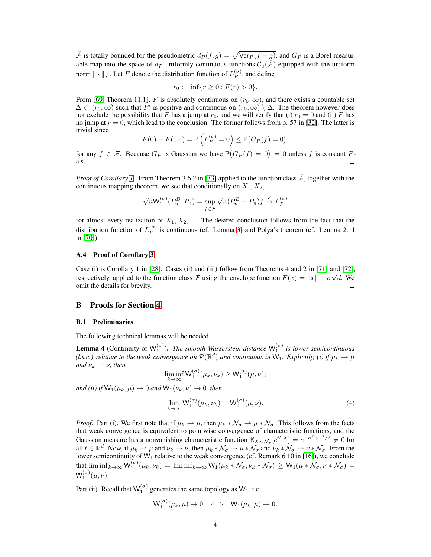$\check{\mathcal{F}}$  is totally bounded for the pseudometric  $d_P(f, g) = \sqrt{\text{Var}_P (f - g)}$ , and  $G_P$  is a Borel measurable map into the space of  $d_P$ -uniformly continuous functions  $C_u(\tilde{\mathcal{F}})$  equipped with the uniform norm  $\|\cdot\|_{\tilde{\mathcal{F}}}$ . Let F denote the distribution function of  $L_P^{(\sigma)}$  $P^{(\sigma)}$ , and define

$$
r_0 := \inf\{r \ge 0 : F(r) > 0\}.
$$

From [\[69,](#page--1-5) Theorem 11.1], F is absolutely continuous on  $(r_0, \infty)$ , and there exists a countable set  $\Delta \subset (r_0, \infty)$  such that F' is positive and continuous on  $(r_0, \infty) \setminus \Delta$ . The theorem however does not exclude the possibility that F has a jump at  $r_0$ , and we will verify that (i)  $r_0 = 0$  and (ii) F has no jump at  $r = 0$ , which lead to the conclusion. The former follows from p. 57 in [\[32\]](#page--1-6). The latter is trivial since

$$
F(0) - F(0-) = \mathbb{P}\left(L_P^{(\sigma)} = 0\right) \le \mathbb{P}(G_P(f) = 0),
$$

for any  $f \in \tilde{\mathcal{F}}$ . Because  $G_P$  is Gaussian we have  $\mathbb{P}(G_P(f) = 0) = 0$  unless f is constant  $P$ a.s.  $\Box$ 

*Proof of Corollary [1.](#page--1-4)* From Theorem 3.6.2 in [\[33\]](#page--1-2) applied to the function class  $\tilde{\mathcal{F}}$ , together with the continuous mapping theorem, we see that conditionally on  $X_1, X_2, \ldots$ ,

$$
\sqrt{n} \mathsf{W}_1^{(\sigma)}(P_n^B, P_n) = \sup_{f \in \tilde{\mathcal{F}}} \sqrt{n} (P_n^B - P_n) f \stackrel{d}{\to} L_P^{(\sigma)}
$$

for almost every realization of  $X_1, X_2, \ldots$  The desired conclusion follows from the fact that the distribution function of  $L_P^{(\sigma)}$  $\binom{10}{P}$  is continuous (cf. Lemma [3\)](#page-2-1) and Polya's theorem (cf. Lemma 2.11 in [\[70\]](#page--1-7)).  $\Box$ 

## <span id="page-3-0"></span>A.4 Proof of Corollary [3](#page-0-1)

Case (i) is Corollary 1 in [\[28\]](#page--1-8). Cases (ii) and (iii) follow from Theorems 4 and 2 in [\[71\]](#page--1-9) and [\[72\]](#page--1-10), respectively, applied to the function class  $\tilde{\mathcal{F}}$  using the envelope function  $\tilde{F}(x) = ||x|| + \sigma \sqrt{d}$ . We omit the details for brevity.  $\Box$ 

## B Proofs for Section [4](#page--1-11)

#### B.1 Preliminaries

The following technical lemmas will be needed.

<span id="page-3-1"></span>**Lemma 4** (Continuity of  $W_1^{(\sigma)}$ ). *The smooth Wasserstein distance*  $W_1^{(\sigma)}$  *is lower semicontinuous* (*l.s.c.*) relative to the weak convergence on  $P(\mathbb{R}^d)$  and continuous in  $W_1$ . Explicitly, (i) if  $\mu_k \to \mu$ *and*  $\nu_k \rightharpoonup \nu$ *, then* 

$$
\liminf_{k\to\infty} \mathsf{W}_1^{(\sigma)}(\mu_k,\nu_k) \ge \mathsf{W}_1^{(\sigma)}(\mu,\nu);
$$

*and (ii) if*  $W_1(\mu_k, \mu) \to 0$  *and*  $W_1(\nu_k, \nu) \to 0$ *, then* 

$$
\lim_{k \to \infty} \mathsf{W}_1^{(\sigma)}(\mu_k, \nu_k) = \mathsf{W}_1^{(\sigma)}(\mu, \nu).
$$
\n(4)

*Proof.* Part (i). We first note that if  $\mu_k \to \mu$ , then  $\mu_k * \mathcal{N}_\sigma \to \mu * \mathcal{N}_\sigma$ . This follows from the facts that weak convergence is equivalent to pointwise convergence of characteristic functions, and the Gaussian measure has a nonvanishing characteristic function  $\mathbb{E}_{X \sim \mathcal{N}_{\sigma}}[e^{it \cdot X}] = e^{-\sigma^2 ||t||^2/2} \neq 0$  for all  $t \in \mathbb{R}^d$ . Now, if  $\mu_k \to \mu$  and  $\nu_k \to \nu$ , then  $\mu_k * \mathcal{N}_\sigma \to \mu * \mathcal{N}_\sigma$  and  $\nu_k * \mathcal{N}_\sigma \to \nu * \mathcal{N}_\sigma$ . From the lower semicontinuity of  $W_1$  relative to the weak convergence (cf. Remark 6.10 in [\[16\]](#page--1-12)), we conclude that  $\liminf_{k\to\infty} W_1^{(\sigma)}(\mu_k, \nu_k) = \liminf_{k\to\infty} W_1(\mu_k * \mathcal{N}_{\sigma}, \nu_k * \mathcal{N}_{\sigma}) \ge W_1(\mu * \mathcal{N}_{\sigma}, \nu * \mathcal{N}_{\sigma}) =$  $\mathsf{W}_1^{(\sigma)}(\mu,\nu).$ 

Part (ii). Recall that  $W_1^{(\sigma)}$  generates the same topology as  $W_1$ , i.e.,

$$
\mathsf{W}_1^{(\sigma)}(\mu_k,\mu) \to 0 \iff \mathsf{W}_1(\mu_k,\mu) \to 0.
$$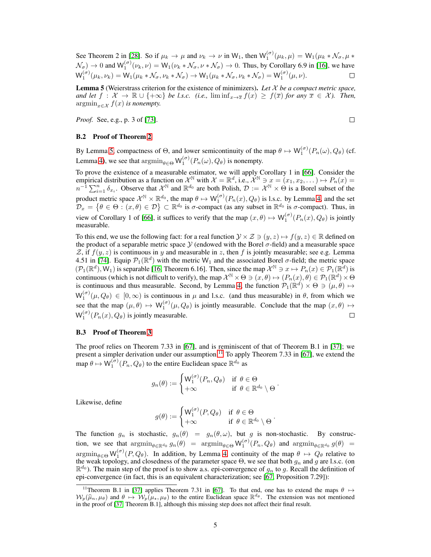See Theorem 2 in [\[28\]](#page--1-8). So if  $\mu_k \to \mu$  and  $\nu_k \to \nu$  in W<sub>1</sub>, then  $\mathsf{W}_1^{(\sigma)}(\mu_k, \mu) = \mathsf{W}_1(\mu_k * \mathcal{N}_{\sigma}, \mu *$  $\mathcal{N}_{\sigma}$   $\rightarrow$  0 and  $\mathsf{W}_{1}^{(\sigma)}(\nu_{k}, \nu) = \mathsf{W}_{1}(\nu_{k} * \mathcal{N}_{\sigma}, \nu * \mathcal{N}_{\sigma}) \rightarrow 0$ . Thus, by Corollary 6.9 in [\[16\]](#page--1-12), we have  $\mathsf{W}_1^{(\sigma)}(\mu_k, \nu_k) = \mathsf{W}_1(\mu_k * \mathcal{N}_{\sigma}, \nu_k * \mathcal{N}_{\sigma}) \to \mathsf{W}_1(\mu_k * \mathcal{N}_{\sigma}, \nu_k * \mathcal{N}_{\sigma}) = \mathsf{W}_1^{(\sigma)}(\mu, \nu).$  $\Box$ 

<span id="page-4-0"></span>Lemma 5 (Weierstrass criterion for the existence of minimizers). *Let* X *be a compact metric space, and let*  $f : \mathcal{X} \to \mathbb{R} \cup \{+\infty\}$  *be l.s.c. (i.e.,*  $\liminf_{x \to \overline{x}} f(x) \geq f(\overline{x})$  *for any*  $\overline{x} \in \mathcal{X}$ *). Then,*  $\operatorname{argmin}_{x \in \mathcal{X}} f(x)$  *is nonempty.* 

*Proof.* See, e.g., p. 3 of [\[73\]](#page--1-13).

 $\Box$ 

## B.2 Proof of Theorem [2](#page--1-14)

By Lemma [5,](#page-4-0) compactness of  $\Theta$ , and lower semicontinuity of the map  $\theta \mapsto W_1^{(\sigma)}(P_n(\omega), Q_\theta)$  (cf. Lemma [4\)](#page-3-1), we see that  $\operatorname{argmin}_{\theta \in \Theta} W_1^{(\sigma)}(P_n(\omega), Q_\theta)$  is nonempty.

To prove the existence of a measurable estimator, we will apply Corollary 1 in [\[66\]](#page--1-15). Consider the empirical distribution as a function on  $\mathcal{X}^{\mathbb{N}}$  with  $\mathcal{X} = \mathbb{R}^d$ , i.e.,  $\mathcal{X}^{\mathbb{N}} \ni x = (x_1, x_2, ...) \mapsto P_n(x) =$  $n^{-1} \sum_{i=1}^{n} \delta_{x_i}$ . Observe that  $\mathcal{X}^{\mathbb{N}}$  and  $\mathbb{R}^{d_0}$  are both Polish,  $\mathcal{D} := \mathcal{X}^{\mathbb{N}} \times \Theta$  is a Borel subset of the product metric space  $\mathcal{X}^{\mathbb{N}} \times \mathbb{R}^{d_0}$ , the map  $\theta \mapsto \mathsf{W}_1^{(\sigma)}(P_n(x), Q_\theta)$  is l.s.c. by Lemma [4,](#page-3-1) and the set  $\mathcal{D}_x = \{ \theta \in \Theta : (x, \theta) \in \mathcal{D} \} \subset \mathbb{R}^{d_0}$  is  $\sigma$ -compact (as any subset in  $\mathbb{R}^{d_0}$  is  $\sigma$ -compact). Thus, in view of Corollary 1 of [\[66\]](#page--1-15), it suffices to verify that the map  $(x, \theta) \mapsto W_1^{(\sigma)}(P_n(x), Q_\theta)$  is jointly measurable.

To this end, we use the following fact: for a real function  $\mathcal{Y} \times \mathcal{Z} \ni (y, z) \mapsto f(y, z) \in \mathbb{R}$  defined on the product of a separable metric space  $\mathcal Y$  (endowed with the Borel  $\sigma$ -field) and a measurable space Z, if  $f(y, z)$  is continuous in y and measurable in z, then f is jointly measurable; see e.g. Lemma 4.51 in [\[74\]](#page--1-16). Equip  $\mathcal{P}_1(\mathbb{R}^d)$  with the metric W<sub>1</sub> and the associated Borel  $\sigma$ -field; the metric space  $(\mathcal{P}_1(\mathbb{R}^d), W_1)$  is separable [\[16,](#page--1-12) Theorem 6.16]. Then, since the map  $\mathcal{X}^{\mathbb{N}} \ni x \mapsto P_n(x) \in \mathcal{P}_1(\mathbb{R}^d)$  is continuous (which is not difficult to verify), the map  $\mathcal{X}^{\mathbb{N}} \times \Theta \ni (x, \theta) \mapsto (P_n(x), \theta) \in \mathcal{P}_1(\mathbb{R}^d) \times \Theta$ is continuous and thus measurable. Second, by Lemma [4,](#page-3-1) the function  $\mathcal{P}_1(\mathbb{R}^d) \times \Theta \ni (\mu, \theta) \mapsto$  $W_1^{(\sigma)}(\mu, Q_\theta) \in [0, \infty)$  is continuous in  $\mu$  and l.s.c. (and thus measurable) in  $\theta$ , from which we see that the map  $(\mu, \theta) \mapsto W_1^{(\sigma)}(\mu, Q_\theta)$  is jointly measurable. Conclude that the map  $(x, \theta) \mapsto$  $W_1^{(\sigma)}(P_n(x), Q_\theta)$  is jointly measurable.  $\Box$ 

### B.3 Proof of Theorem [3](#page--1-17)

The proof relies on Theorem 7.33 in [\[67\]](#page--1-18), and is reminiscent of that of Theorem B.1 in [\[37\]](#page--1-19); we present a simpler derivation under our assumption.<sup>[11](#page-4-1)</sup> To apply Theorem 7.33 in [\[67\]](#page--1-18), we extend the map  $\theta \mapsto \mathsf{W}_1^{(\sigma)}(P_n, Q_\theta)$  to the entire Euclidean space  $\mathbb{R}^{d_0}$  as

$$
g_n(\theta) := \begin{cases} \mathsf{W}_1^{(\sigma)}(P_n, Q_\theta) & \text{if } \theta \in \Theta \\ +\infty & \text{if } \theta \in \mathbb{R}^{d_0} \setminus \Theta \end{cases}.
$$

Likewise, define

$$
g(\theta) := \begin{cases} \mathsf{W}_1^{(\sigma)}(P,Q_\theta) & \text{if } \theta \in \Theta \\ +\infty & \text{if } \theta \in \mathbb{R}^{d_0} \setminus \Theta \end{cases}
$$

.

The function  $g_n$  is stochastic,  $g_n(\theta) = g_n(\theta, \omega)$ , but g is non-stochastic. By construction, we see that  $\operatorname{argmin}_{\theta \in \mathbb{R}^{d_0}} g_n(\theta) = \operatorname{argmin}_{\theta \in \Theta} \mathsf{W}_1^{(\sigma)}(P_n, Q_\theta)$  and  $\operatorname{argmin}_{\theta \in \mathbb{R}^{d_0}} g(\theta) =$  $\operatorname{argmin}_{\theta \in \Theta} W_1^{(\sigma)}(P, Q_\theta)$ . In addition, by Lemma [4,](#page-3-1) continuity of the map  $\theta \mapsto Q_\theta$  relative to the weak topology, and closedness of the parameter space  $\Theta$ , we see that both  $g_n$  and g are l.s.c. (on  $\mathbb{R}^{d_0}$ ). The main step of the proof is to show a.s. epi-convergence of  $g_n$  to g. Recall the definition of epi-convergence (in fact, this is an equivalent characterization; see [\[67,](#page--1-18) Proposition 7.29]):

<span id="page-4-1"></span><sup>&</sup>lt;sup>11</sup>Theorem B.1 in [\[37\]](#page--1-19) applies Theorem 7.31 in [\[67\]](#page--1-18). To that end, one has to extend the maps  $\theta \mapsto$  $W_p(\hat{\mu}_n, \mu_\theta)$  and  $\theta \mapsto W_p(\hat{\mu}_\star, \mu_\theta)$  to the entire Euclidean space  $\mathbb{R}^{d_\theta}$ . The extension was not mentioned in the proof of [\[37,](#page--1-19) Theorem B.1], although this missing step does not affect their final result.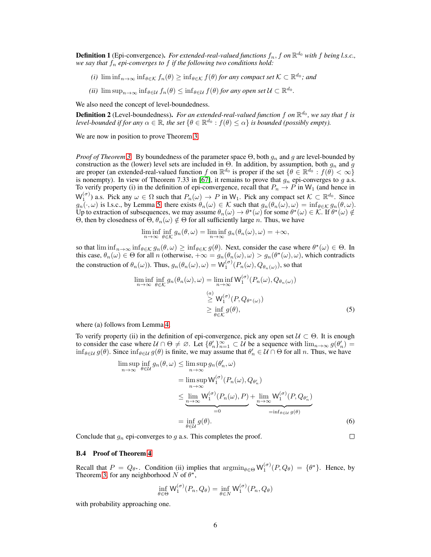**Definition 1** (Epi-convergence). For extended-real-valued functions  $f_n$ , f on  $\mathbb{R}^{d_0}$  with f being l.s.c., *we say that* f<sup>n</sup> *epi-converges to* f *if the following two conditions hold:*

- *(i)*  $\liminf_{n\to\infty} \inf_{\theta\in\mathcal{K}} f_n(\theta) \geq \inf_{\theta\in\mathcal{K}} f(\theta)$  *for any compact set*  $\mathcal{K} \subset \mathbb{R}^{d_0}$ *; and*
- $(iii)$   $\limsup_{n\to\infty} \inf_{\theta\in\mathcal{U}} f_n(\theta) \leq \inf_{\theta\in\mathcal{U}} f(\theta)$  *for any open set*  $\mathcal{U} \subset \mathbb{R}^{d_0}$ *.*

We also need the concept of level-boundedness.

**Definition 2** (Level-boundedness). For an extended-real-valued function f on  $\mathbb{R}^{d_0}$ , we say that f is *level-bounded if for any*  $\alpha \in \mathbb{R}$ , the set  $\{\theta \in \mathbb{R}^{d_0} : f(\theta) \leq \alpha\}$  is bounded (possibly empty).

We are now in position to prove Theorem [3.](#page--1-17)

*Proof of Theorem [3.](#page--1-17)* By boundedness of the parameter space  $\Theta$ , both  $g_n$  and g are level-bounded by construction as the (lower) level sets are included in  $\Theta$ . In addition, by assumption, both  $g_n$  and  $g$ are proper (an extended-real-valued function f on  $\mathbb{R}^{d_0}$  is proper if the set  $\{\theta \in \mathbb{R}^{d_0} : f(\theta) < \infty\}$ is nonempty). In view of Theorem 7.33 in [\[67\]](#page--1-18), it remains to prove that  $g_n$  epi-converges to g a.s. To verify property (i) in the definition of epi-convergence, recall that  $P_n \to P$  in W<sub>1</sub> (and hence in  $W_1^{(\sigma)}$ ) a.s. Pick any  $\omega \in \Omega$  such that  $P_n(\omega) \to P$  in  $W_1$ . Pick any compact set  $\mathcal{K} \subset \mathbb{R}^{d_0}$ . Since  $g_n(\cdot, \omega)$  is l.s.c., by Lemma [5,](#page-4-0) there exists  $\theta_n(\omega) \in \mathcal{K}$  such that  $g_n(\theta_n(\omega), \omega) = \inf_{\theta \in \mathcal{K}} g_n(\theta, \omega)$ . Up to extraction of subsequences, we may assume  $\theta_n(\omega) \to \theta^*(\omega)$  for some  $\theta^*(\omega) \in \mathcal{K}$ . If  $\theta^*(\omega) \notin$ Θ, then by closedness of  $\Theta$ ,  $\theta_n(\omega) \notin \Theta$  for all sufficiently large *n*. Thus, we have

$$
\liminf_{n \to \infty} \inf_{\theta \in \mathcal{K}} g_n(\theta, \omega) = \liminf_{n \to \infty} g_n(\theta_n(\omega), \omega) = +\infty,
$$

so that  $\liminf_{n\to\infty} \inf_{\theta \in \mathcal{K}} g_n(\theta, \omega) \geq \inf_{\theta \in \mathcal{K}} g(\theta)$ . Next, consider the case where  $\theta^*(\omega) \in \Theta$ . In this case,  $\theta_n(\omega) \in \Theta$  for all n (otherwise,  $+\infty = g_n(\theta_n(\omega), \omega) > g_n(\theta^*(\omega), \omega)$ , which contradicts the construction of  $\theta_n(\omega)$ ). Thus,  $g_n(\theta_n(\omega), \omega) = \mathsf{W}_1^{(\sigma)}(P_n(\omega), Q_{\theta_n(\omega)})$ , so that

$$
\liminf_{n \to \infty} \inf_{\theta \in \mathcal{K}} g_n(\theta_n(\omega), \omega) = \liminf_{n \to \infty} \mathsf{W}_1^{(\sigma)}(P_n(\omega), Q_{\theta_n(\omega)})
$$

$$
\geq \mathsf{W}_1^{(\sigma)}(P, Q_{\theta^*(\omega)})
$$

$$
\geq \inf_{\theta \in \mathcal{K}} g(\theta),
$$
(5)

where (a) follows from Lemma [4.](#page-3-1)

To verify property (ii) in the definition of epi-convergence, pick any open set  $U \subset \Theta$ . It is enough to consider the case where  $U \cap \Theta \neq \emptyset$ . Let  $\{\theta'_n\}_{n=1}^{\infty} \subset U$  be a sequence with  $\lim_{n\to\infty} g(\theta'_n) =$  $\inf_{\theta \in \mathcal{U}} g(\theta)$ . Since  $\inf_{\theta \in \mathcal{U}} g(\theta)$  is finite, we may assume that  $\theta'_n \in \mathcal{U} \cap \Theta$  for all *n*. Thus, we have

$$
\limsup_{n \to \infty} \inf_{\theta \in \mathcal{U}} g_n(\theta, \omega) \le \limsup_{n \to \infty} g_n(\theta'_n, \omega)
$$
\n
$$
= \limsup_{n \to \infty} \mathsf{W}_1^{(\sigma)}(P_n(\omega), Q_{\theta'_n})
$$
\n
$$
\le \lim_{n \to \infty} \mathsf{W}_1^{(\sigma)}(P_n(\omega), P) + \lim_{n \to \infty} \mathsf{W}_1^{(\sigma)}(P, Q_{\theta'_n})
$$
\n
$$
= \inf_{\theta \in \mathcal{U}} g(\theta).
$$
\n(6)

 $\Box$ 

Conclude that  $g_n$  epi-converges to g a.s. This completes the proof.

#### B.4 Proof of Theorem [4](#page--1-20)

Recall that  $P = Q_{\theta^*}$ . Condition (ii) implies that  $\operatorname{argmin}_{\theta \in \Theta} W_1^{(\sigma)}(P, Q_{\theta}) = \{\theta^*\}$ . Hence, by Theorem [3,](#page--1-17) for any neighborhood N of  $\theta^*$ ,

$$
\inf_{\theta \in \Theta} \mathsf{W}_1^{(\sigma)}(P_n, Q_\theta) = \inf_{\theta \in N} \mathsf{W}_1^{(\sigma)}(P_n, Q_\theta)
$$

with probability approaching one.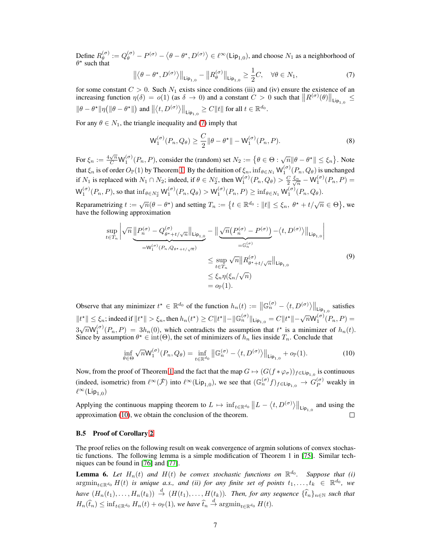Define  $R_{\theta}^{(\sigma)}$  $\theta_{\theta}^{(\sigma)}:=Q_{\theta}^{(\sigma)}-P^{(\sigma)}-\left\langle \theta-\theta^{\star},D^{(\sigma)}\right\rangle \in \ell^{\infty}(\mathsf{Lip}_{1,0}),$  and choose  $N_{1}$  as a neighborhood of  $\theta^*$  such that

<span id="page-6-0"></span>
$$
\left\| \left\langle \theta - \theta^{\star}, D^{(\sigma)} \right\rangle \right\|_{\text{Lip}_{1,0}} - \left\| R_{\theta}^{(\sigma)} \right\|_{\text{Lip}_{1,0}} \ge \frac{1}{2} C, \quad \forall \theta \in N_1,
$$
\n<sup>(7)</sup>

for some constant  $C > 0$ . Such  $N_1$  exists since conditions (iii) and (iv) ensure the existence of an increasing function  $\eta(\delta) = o(1)$  (as  $\delta \to 0$ ) and a constant  $C > 0$  such that  $||R^{(\sigma)}(\theta)||_{\text{Lip}_{1,0}} \leq$  $\|\theta-\theta^\star\|\eta\big(\|\theta-\theta^\star\|\big) \text{ and } \left\|\left\langle t,D^{(\sigma)}\right\rangle\right\|_{\mathsf{Lip}_{1,0}} \geq C\|t\| \text{ for all } t\in\mathbb{R}^{d_0}.$ 

For any  $\theta \in N_1$ , the triangle inequality and [\(7\)](#page-6-0) imply that

<span id="page-6-2"></span>
$$
\mathsf{W}_1^{(\sigma)}(P_n, Q_\theta) \ge \frac{C}{2} \|\theta - \theta^\star\| - \mathsf{W}_1^{(\sigma)}(P_n, P). \tag{8}
$$

For  $\xi_n := \frac{4\sqrt{n}}{C} W_1^{(\sigma)}(P_n, P)$ , consider the (random) set  $N_2 := \{ \theta \in \Theta : \sqrt{n} \|\theta - \theta^{\star}\| \leq \xi_n \}$ . Note that  $\xi_n$  is of order  $O_P(1)$  by Theorem [1.](#page--1-1) By the definition of  $\xi_n$ ,  $\inf_{\theta \in N_1} W_1^{(\sigma)}(P_n, Q_\theta)$  is unchanged if  $N_1$  is replaced with  $N_1 \cap N_2$ ; indeed, if  $\theta \in N_2^c$ , then  $\mathsf{W}_1^{(\sigma)}(P_n, Q_\theta) > \frac{C}{2} \frac{\xi_n}{\sqrt{n}} - \mathsf{W}_1^{(\sigma)}(P_n, P) =$  $\mathsf{W}_1^{(\sigma)}(P_n, P)$ , so that  $\inf_{\theta \in N_2^c} \mathsf{W}_1^{(\sigma)}(P_n, Q_\theta) > \mathsf{W}_1^{(\sigma)}(P_n, P) \ge \inf_{\theta \in N_1} \mathsf{W}_1^{(\sigma)}(P_n, Q_\theta)$ .

Reparametrizing  $t := \sqrt{n}(\theta - \theta^*)$  and setting  $T_n := \{t \in \mathbb{R}^{d_0} : ||t|| \leq \xi_n, \ \theta^* + t/\sqrt{n} \in \Theta\}$ , we have the following approximation

<span id="page-6-3"></span>
$$
\sup_{t \in T_n} \left| \sqrt{n} \underbrace{\left\| P_n^{(\sigma)} - Q_{\theta^* + t/\sqrt{n}}^{(\sigma)} \right\|_{\text{Lip}_{1,0}}}_{= \mathsf{W}_1^{(\sigma)}(P_n, Q_{\theta^* + t/\sqrt{n}})} - \left\| \underbrace{\sqrt{n} \left( P_n^{(\sigma)} - P^{(\sigma)} \right)}_{= \mathbb{G}_n^{(\sigma)}} - \langle t, D^{(\sigma)} \rangle \right\|_{\text{Lip}_{1,0}}}{\leq \sup_{t \in T_n} \sqrt{n} \| R_{\theta^* + t/\sqrt{n}}^{(\sigma)} \|_{\text{Lip}_{1,0}}} \tag{9}
$$
\n
$$
\leq \xi_n \eta(\xi_n/\sqrt{n})
$$
\n
$$
= o_{\mathbb{P}}(1).
$$

Observe that any minimizer  $t^* \in \mathbb{R}^{d_0}$  of the function  $h_n(t) := \left\|\mathbb{G}_n^{(\sigma)} - \langle t, D^{(\sigma)} \rangle\right\|_{\text{Lip}_{1,0}}$  satisfies  $\|t^\star\|\leq \xi_n; \text{indeed if } \|t^\star\|>\xi_n, \text{then } h_n(t^\star)\geq C \|t^\star\|-\|\mathbb{G}_n^{(\sigma)}\|_{\text{Lip}_{1,0}}=C \|t^\star\|-\sqrt{n}\mathsf{W}_1^{(\sigma)}(P_n,P)=0.$  $3\sqrt{n}W_1^{(\sigma)}(P_n, P) = 3h_n(0)$ , which contradicts the assumption that  $t^*$  is a minimizer of  $h_n(t)$ . Since by assumption  $\theta^* \in \text{int}(\Theta)$ , the set of minimizers of  $h_n$  lies inside  $T_n$ . Conclude that

<span id="page-6-1"></span>
$$
\inf_{\theta \in \Theta} \sqrt{n} \mathsf{W}_1^{(\sigma)}(P_n, Q_\theta) = \inf_{t \in \mathbb{R}^{d_0}} \left\| \mathbb{G}_n^{(\sigma)} - \langle t, D^{(\sigma)} \rangle \right\|_{\mathsf{Lip}_{1,0}} + o_{\mathbb{P}}(1). \tag{10}
$$

Now, from the proof of Theorem [1](#page--1-1) and the fact that the map  $G \mapsto (G(f * \varphi_{\sigma}))_{f \in \mathsf{Lip}_{1,0}}$  is continuous (indeed, isometric) from  $\ell^{\infty}(\check{\mathcal{F}})$  into  $\ell^{\infty}(\text{Lip}_{1,0})$ , we see that  $(\mathbb{G}_n^{(\sigma)}f)_{f \in \text{Lip}_{1,0}} \to G_P^{(\sigma)}$  weakly in  $\ell^\infty(\mathsf{Lip}_{1,0})$ 

Applying the continuous mapping theorem to  $L \mapsto \inf_{t \in \mathbb{R}^{d_0}} ||L - \langle t, D^{(\sigma)} \rangle||_{\text{Lip}_{1,0}}$  and using the approximation [\(10\)](#page-6-1), we obtain the conclusion of the theorem.  $\Box$ 

## B.5 Proof of Corollary [2](#page--1-21)

The proof relies on the following result on weak convergence of argmin solutions of convex stochastic functions. The following lemma is a simple modification of Theorem 1 in [\[75\]](#page--1-22). Similar techniques can be found in [\[76\]](#page--1-23) and [\[77\]](#page--1-24).

<span id="page-6-4"></span>**Lemma 6.** Let  $H_n(t)$  and  $H(t)$  be convex stochastic functions on  $\mathbb{R}^{d_0}$ . Suppose that (i)  $\operatorname{argmin}_{t \in \mathbb{R}^{d_0}} H(t)$  *is unique a.s., and (ii) for any finite set of points*  $t_1, \ldots, t_k \in \mathbb{R}^{d_0}$ , we  $have$   $(H_n(t_1),...,H_n(t_k)) \stackrel{d}{\to} (H(t_1),...,H(t_k))$ . Then, for any sequence  $\{\widehat{t}_n\}_{n\in\mathbb{N}}$  such that  $H_n(\widehat{t}_n) \leq \inf_{t \in \mathbb{R}^{d_0}} H_n(t) + o_{\mathbb{P}}(1)$ *, we have*  $\widehat{t}_n \stackrel{d}{\to} \text{argmin}_{t \in \mathbb{R}^{d_0}} H(t)$ *.*